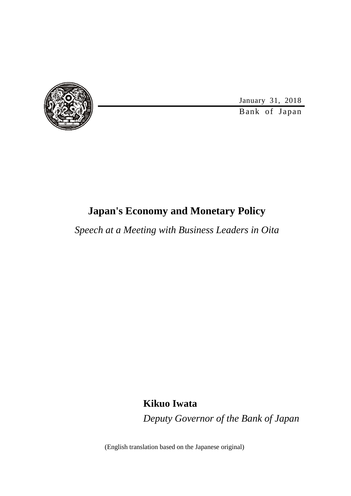

January 31, 2018

Bank of Japan

### **Japan's Economy and Monetary Policy**

*Speech at a Meeting with Business Leaders in Oita*

**Kikuo Iwata**

*Deputy Governor of the Bank of Japan*

(English translation based on the Japanese original)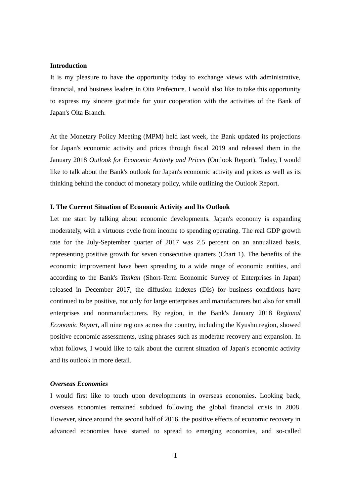#### **Introduction**

It is my pleasure to have the opportunity today to exchange views with administrative, financial, and business leaders in Oita Prefecture. I would also like to take this opportunity to express my sincere gratitude for your cooperation with the activities of the Bank of Japan's Oita Branch.

At the Monetary Policy Meeting (MPM) held last week, the Bank updated its projections for Japan's economic activity and prices through fiscal 2019 and released them in the January 2018 *Outlook for Economic Activity and Prices* (Outlook Report). Today, I would like to talk about the Bank's outlook for Japan's economic activity and prices as well as its thinking behind the conduct of monetary policy, while outlining the Outlook Report.

#### **I. The Current Situation of Economic Activity and Its Outlook**

Let me start by talking about economic developments. Japan's economy is expanding moderately, with a virtuous cycle from income to spending operating. The real GDP growth rate for the July-September quarter of 2017 was 2.5 percent on an annualized basis, representing positive growth for seven consecutive quarters (Chart 1). The benefits of the economic improvement have been spreading to a wide range of economic entities, and according to the Bank's *Tankan* (Short-Term Economic Survey of Enterprises in Japan) released in December 2017, the diffusion indexes (DIs) for business conditions have continued to be positive, not only for large enterprises and manufacturers but also for small enterprises and nonmanufacturers. By region, in the Bank's January 2018 *Regional Economic Report*, all nine regions across the country, including the Kyushu region, showed positive economic assessments, using phrases such as moderate recovery and expansion. In what follows, I would like to talk about the current situation of Japan's economic activity and its outlook in more detail.

#### *Overseas Economies*

I would first like to touch upon developments in overseas economies. Looking back, overseas economies remained subdued following the global financial crisis in 2008. However, since around the second half of 2016, the positive effects of economic recovery in advanced economies have started to spread to emerging economies, and so-called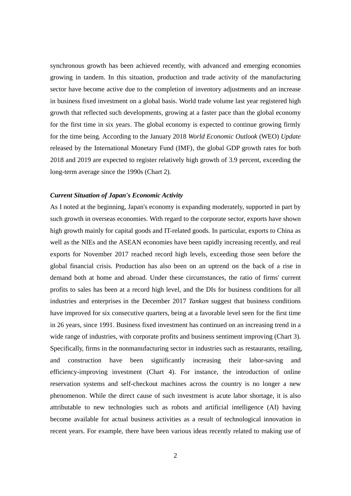synchronous growth has been achieved recently, with advanced and emerging economies growing in tandem. In this situation, production and trade activity of the manufacturing sector have become active due to the completion of inventory adjustments and an increase in business fixed investment on a global basis. World trade volume last year registered high growth that reflected such developments, growing at a faster pace than the global economy for the first time in six years. The global economy is expected to continue growing firmly for the time being. According to the January 2018 *World Economic Outlook* (WEO) *Update* released by the International Monetary Fund (IMF), the global GDP growth rates for both 2018 and 2019 are expected to register relatively high growth of 3.9 percent, exceeding the long-term average since the 1990s (Chart 2).

#### *Current Situation of Japan's Economic Activity*

As I noted at the beginning, Japan's economy is expanding moderately, supported in part by such growth in overseas economies. With regard to the corporate sector, exports have shown high growth mainly for capital goods and IT-related goods. In particular, exports to China as well as the NIEs and the ASEAN economies have been rapidly increasing recently, and real exports for November 2017 reached record high levels, exceeding those seen before the global financial crisis. Production has also been on an uptrend on the back of a rise in demand both at home and abroad. Under these circumstances, the ratio of firms' current profits to sales has been at a record high level, and the DIs for business conditions for all industries and enterprises in the December 2017 *Tankan* suggest that business conditions have improved for six consecutive quarters, being at a favorable level seen for the first time in 26 years, since 1991. Business fixed investment has continued on an increasing trend in a wide range of industries, with corporate profits and business sentiment improving (Chart 3). Specifically, firms in the nonmanufacturing sector in industries such as restaurants, retailing, and construction have been significantly increasing their labor-saving and efficiency-improving investment (Chart 4). For instance, the introduction of online reservation systems and self-checkout machines across the country is no longer a new phenomenon. While the direct cause of such investment is acute labor shortage, it is also attributable to new technologies such as robots and artificial intelligence (AI) having become available for actual business activities as a result of technological innovation in recent years. For example, there have been various ideas recently related to making use of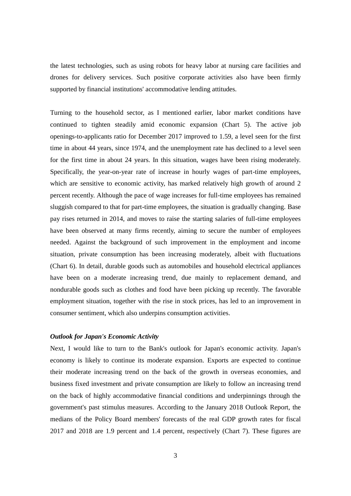the latest technologies, such as using robots for heavy labor at nursing care facilities and drones for delivery services. Such positive corporate activities also have been firmly supported by financial institutions' accommodative lending attitudes.

Turning to the household sector, as I mentioned earlier, labor market conditions have continued to tighten steadily amid economic expansion (Chart 5). The active job openings-to-applicants ratio for December 2017 improved to 1.59, a level seen for the first time in about 44 years, since 1974, and the unemployment rate has declined to a level seen for the first time in about 24 years. In this situation, wages have been rising moderately. Specifically, the year-on-year rate of increase in hourly wages of part-time employees, which are sensitive to economic activity, has marked relatively high growth of around 2 percent recently. Although the pace of wage increases for full-time employees has remained sluggish compared to that for part-time employees, the situation is gradually changing. Base pay rises returned in 2014, and moves to raise the starting salaries of full-time employees have been observed at many firms recently, aiming to secure the number of employees needed. Against the background of such improvement in the employment and income situation, private consumption has been increasing moderately, albeit with fluctuations (Chart 6). In detail, durable goods such as automobiles and household electrical appliances have been on a moderate increasing trend, due mainly to replacement demand, and nondurable goods such as clothes and food have been picking up recently. The favorable employment situation, together with the rise in stock prices, has led to an improvement in consumer sentiment, which also underpins consumption activities.

#### *Outlook for Japan's Economic Activity*

Next, I would like to turn to the Bank's outlook for Japan's economic activity. Japan's economy is likely to continue its moderate expansion. Exports are expected to continue their moderate increasing trend on the back of the growth in overseas economies, and business fixed investment and private consumption are likely to follow an increasing trend on the back of highly accommodative financial conditions and underpinnings through the government's past stimulus measures. According to the January 2018 Outlook Report, the medians of the Policy Board members' forecasts of the real GDP growth rates for fiscal 2017 and 2018 are 1.9 percent and 1.4 percent, respectively (Chart 7). These figures are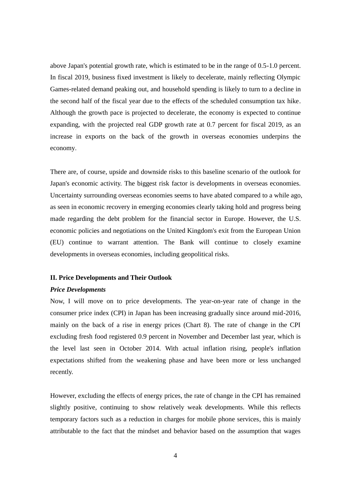above Japan's potential growth rate, which is estimated to be in the range of 0.5-1.0 percent. In fiscal 2019, business fixed investment is likely to decelerate, mainly reflecting Olympic Games-related demand peaking out, and household spending is likely to turn to a decline in the second half of the fiscal year due to the effects of the scheduled consumption tax hike. Although the growth pace is projected to decelerate, the economy is expected to continue expanding, with the projected real GDP growth rate at 0.7 percent for fiscal 2019, as an increase in exports on the back of the growth in overseas economies underpins the economy.

There are, of course, upside and downside risks to this baseline scenario of the outlook for Japan's economic activity. The biggest risk factor is developments in overseas economies. Uncertainty surrounding overseas economies seems to have abated compared to a while ago, as seen in economic recovery in emerging economies clearly taking hold and progress being made regarding the debt problem for the financial sector in Europe. However, the U.S. economic policies and negotiations on the United Kingdom's exit from the European Union (EU) continue to warrant attention. The Bank will continue to closely examine developments in overseas economies, including geopolitical risks.

#### **II. Price Developments and Their Outlook**

#### *Price Developments*

Now, I will move on to price developments. The year-on-year rate of change in the consumer price index (CPI) in Japan has been increasing gradually since around mid-2016, mainly on the back of a rise in energy prices (Chart 8). The rate of change in the CPI excluding fresh food registered 0.9 percent in November and December last year, which is the level last seen in October 2014. With actual inflation rising, people's inflation expectations shifted from the weakening phase and have been more or less unchanged recently.

However, excluding the effects of energy prices, the rate of change in the CPI has remained slightly positive, continuing to show relatively weak developments. While this reflects temporary factors such as a reduction in charges for mobile phone services, this is mainly attributable to the fact that the mindset and behavior based on the assumption that wages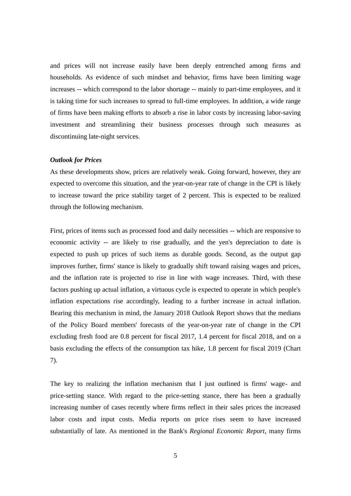and prices will not increase easily have been deeply entrenched among firms and households. As evidence of such mindset and behavior, firms have been limiting wage increases -- which correspond to the labor shortage -- mainly to part-time employees, and it is taking time for such increases to spread to full-time employees. In addition, a wide range of firms have been making efforts to absorb a rise in labor costs by increasing labor-saving investment and streamlining their business processes through such measures as discontinuing late-night services.

#### *Outlook for Prices*

As these developments show, prices are relatively weak. Going forward, however, they are expected to overcome this situation, and the year-on-year rate of change in the CPI is likely to increase toward the price stability target of 2 percent. This is expected to be realized through the following mechanism.

First, prices of items such as processed food and daily necessities -- which are responsive to economic activity -- are likely to rise gradually, and the yen's depreciation to date is expected to push up prices of such items as durable goods. Second, as the output gap improves further, firms' stance is likely to gradually shift toward raising wages and prices, and the inflation rate is projected to rise in line with wage increases. Third, with these factors pushing up actual inflation, a virtuous cycle is expected to operate in which people's inflation expectations rise accordingly, leading to a further increase in actual inflation. Bearing this mechanism in mind, the January 2018 Outlook Report shows that the medians of the Policy Board members' forecasts of the year-on-year rate of change in the CPI excluding fresh food are 0.8 percent for fiscal 2017, 1.4 percent for fiscal 2018, and on a basis excluding the effects of the consumption tax hike, 1.8 percent for fiscal 2019 (Chart 7).

The key to realizing the inflation mechanism that I just outlined is firms' wage- and price-setting stance. With regard to the price-setting stance, there has been a gradually increasing number of cases recently where firms reflect in their sales prices the increased labor costs and input costs. Media reports on price rises seem to have increased substantially of late. As mentioned in the Bank's *Regional Economic Report*, many firms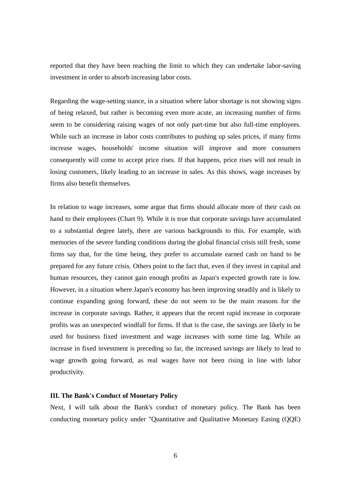reported that they have been reaching the limit to which they can undertake labor-saving investment in order to absorb increasing labor costs.

Regarding the wage-setting stance, in a situation where labor shortage is not showing signs of being relaxed, but rather is becoming even more acute, an increasing number of firms seem to be considering raising wages of not only part-time but also full-time employees. While such an increase in labor costs contributes to pushing up sales prices, if many firms increase wages, households' income situation will improve and more consumers consequently will come to accept price rises. If that happens, price rises will not result in losing customers, likely leading to an increase in sales. As this shows, wage increases by firms also benefit themselves.

In relation to wage increases, some argue that firms should allocate more of their cash on hand to their employees (Chart 9). While it is true that corporate savings have accumulated to a substantial degree lately, there are various backgrounds to this. For example, with memories of the severe funding conditions during the global financial crisis still fresh, some firms say that, for the time being, they prefer to accumulate earned cash on hand to be prepared for any future crisis. Others point to the fact that, even if they invest in capital and human resources, they cannot gain enough profits as Japan's expected growth rate is low. However, in a situation where Japan's economy has been improving steadily and is likely to continue expanding going forward, these do not seem to be the main reasons for the increase in corporate savings. Rather, it appears that the recent rapid increase in corporate profits was an unexpected windfall for firms. If that is the case, the savings are likely to be used for business fixed investment and wage increases with some time lag. While an increase in fixed investment is preceding so far, the increased savings are likely to lead to wage growth going forward, as real wages have not been rising in line with labor productivity.

#### **III. The Bank's Conduct of Monetary Policy**

Next, I will talk about the Bank's conduct of monetary policy. The Bank has been conducting monetary policy under "Quantitative and Qualitative Monetary Easing (QQE)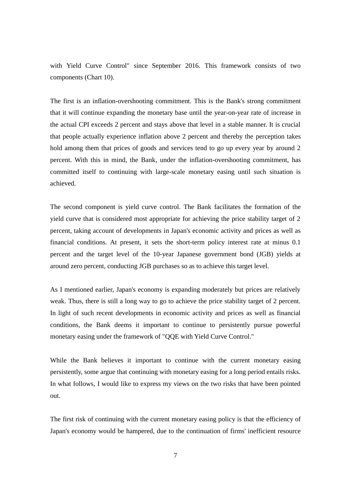with Yield Curve Control" since September 2016. This framework consists of two components (Chart 10).

The first is an inflation-overshooting commitment. This is the Bank's strong commitment that it will continue expanding the monetary base until the year-on-year rate of increase in the actual CPI exceeds 2 percent and stays above that level in a stable manner. It is crucial that people actually experience inflation above 2 percent and thereby the perception takes hold among them that prices of goods and services tend to go up every year by around 2 percent. With this in mind, the Bank, under the inflation-overshooting commitment, has committed itself to continuing with large-scale monetary easing until such situation is achieved.

The second component is yield curve control. The Bank facilitates the formation of the yield curve that is considered most appropriate for achieving the price stability target of 2 percent, taking account of developments in Japan's economic activity and prices as well as financial conditions. At present, it sets the short-term policy interest rate at minus 0.1 percent and the target level of the 10-year Japanese government bond (JGB) yields at around zero percent, conducting JGB purchases so as to achieve this target level.

As I mentioned earlier, Japan's economy is expanding moderately but prices are relatively weak. Thus, there is still a long way to go to achieve the price stability target of 2 percent. In light of such recent developments in economic activity and prices as well as financial conditions, the Bank deems it important to continue to persistently pursue powerful monetary easing under the framework of "QQE with Yield Curve Control."

While the Bank believes it important to continue with the current monetary easing persistently, some argue that continuing with monetary easing for a long period entails risks. In what follows, I would like to express my views on the two risks that have been pointed out.

The first risk of continuing with the current monetary easing policy is that the efficiency of Japan's economy would be hampered, due to the continuation of firms' inefficient resource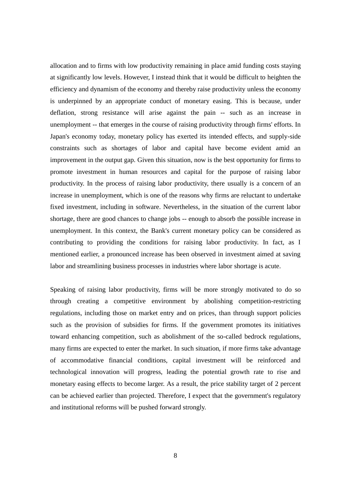allocation and to firms with low productivity remaining in place amid funding costs staying at significantly low levels. However, I instead think that it would be difficult to heighten the efficiency and dynamism of the economy and thereby raise productivity unless the economy is underpinned by an appropriate conduct of monetary easing. This is because, under deflation, strong resistance will arise against the pain -- such as an increase in unemployment -- that emerges in the course of raising productivity through firms' efforts. In Japan's economy today, monetary policy has exerted its intended effects, and supply-side constraints such as shortages of labor and capital have become evident amid an improvement in the output gap. Given this situation, now is the best opportunity for firms to promote investment in human resources and capital for the purpose of raising labor productivity. In the process of raising labor productivity, there usually is a concern of an increase in unemployment, which is one of the reasons why firms are reluctant to undertake fixed investment, including in software. Nevertheless, in the situation of the current labor shortage, there are good chances to change jobs -- enough to absorb the possible increase in unemployment. In this context, the Bank's current monetary policy can be considered as contributing to providing the conditions for raising labor productivity. In fact, as I mentioned earlier, a pronounced increase has been observed in investment aimed at saving labor and streamlining business processes in industries where labor shortage is acute.

Speaking of raising labor productivity, firms will be more strongly motivated to do so through creating a competitive environment by abolishing competition-restricting regulations, including those on market entry and on prices, than through support policies such as the provision of subsidies for firms. If the government promotes its initiatives toward enhancing competition, such as abolishment of the so-called bedrock regulations, many firms are expected to enter the market. In such situation, if more firms take advantage of accommodative financial conditions, capital investment will be reinforced and technological innovation will progress, leading the potential growth rate to rise and monetary easing effects to become larger. As a result, the price stability target of 2 percent can be achieved earlier than projected. Therefore, I expect that the government's regulatory and institutional reforms will be pushed forward strongly.

8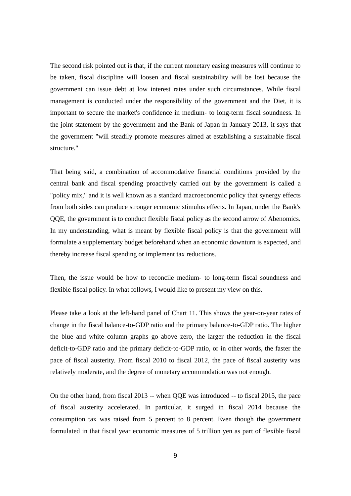The second risk pointed out is that, if the current monetary easing measures will continue to be taken, fiscal discipline will loosen and fiscal sustainability will be lost because the government can issue debt at low interest rates under such circumstances. While fiscal management is conducted under the responsibility of the government and the Diet, it is important to secure the market's confidence in medium- to long-term fiscal soundness. In the joint statement by the government and the Bank of Japan in January 2013, it says that the government "will steadily promote measures aimed at establishing a sustainable fiscal structure."

That being said, a combination of accommodative financial conditions provided by the central bank and fiscal spending proactively carried out by the government is called a "policy mix," and it is well known as a standard macroeconomic policy that synergy effects from both sides can produce stronger economic stimulus effects. In Japan, under the Bank's QQE, the government is to conduct flexible fiscal policy as the second arrow of Abenomics. In my understanding, what is meant by flexible fiscal policy is that the government will formulate a supplementary budget beforehand when an economic downturn is expected, and thereby increase fiscal spending or implement tax reductions.

Then, the issue would be how to reconcile medium- to long-term fiscal soundness and flexible fiscal policy. In what follows, I would like to present my view on this.

Please take a look at the left-hand panel of Chart 11. This shows the year-on-year rates of change in the fiscal balance-to-GDP ratio and the primary balance-to-GDP ratio. The higher the blue and white column graphs go above zero, the larger the reduction in the fiscal deficit-to-GDP ratio and the primary deficit-to-GDP ratio, or in other words, the faster the pace of fiscal austerity. From fiscal 2010 to fiscal 2012, the pace of fiscal austerity was relatively moderate, and the degree of monetary accommodation was not enough.

On the other hand, from fiscal 2013 -- when QQE was introduced -- to fiscal 2015, the pace of fiscal austerity accelerated. In particular, it surged in fiscal 2014 because the consumption tax was raised from 5 percent to 8 percent. Even though the government formulated in that fiscal year economic measures of 5 trillion yen as part of flexible fiscal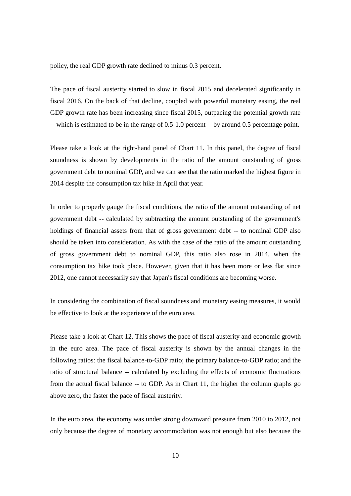policy, the real GDP growth rate declined to minus 0.3 percent.

The pace of fiscal austerity started to slow in fiscal 2015 and decelerated significantly in fiscal 2016. On the back of that decline, coupled with powerful monetary easing, the real GDP growth rate has been increasing since fiscal 2015, outpacing the potential growth rate -- which is estimated to be in the range of 0.5-1.0 percent -- by around 0.5 percentage point.

Please take a look at the right-hand panel of Chart 11. In this panel, the degree of fiscal soundness is shown by developments in the ratio of the amount outstanding of gross government debt to nominal GDP, and we can see that the ratio marked the highest figure in 2014 despite the consumption tax hike in April that year.

In order to properly gauge the fiscal conditions, the ratio of the amount outstanding of net government debt -- calculated by subtracting the amount outstanding of the government's holdings of financial assets from that of gross government debt -- to nominal GDP also should be taken into consideration. As with the case of the ratio of the amount outstanding of gross government debt to nominal GDP, this ratio also rose in 2014, when the consumption tax hike took place. However, given that it has been more or less flat since 2012, one cannot necessarily say that Japan's fiscal conditions are becoming worse.

In considering the combination of fiscal soundness and monetary easing measures, it would be effective to look at the experience of the euro area.

Please take a look at Chart 12. This shows the pace of fiscal austerity and economic growth in the euro area. The pace of fiscal austerity is shown by the annual changes in the following ratios: the fiscal balance-to-GDP ratio; the primary balance-to-GDP ratio; and the ratio of structural balance -- calculated by excluding the effects of economic fluctuations from the actual fiscal balance -- to GDP. As in Chart 11, the higher the column graphs go above zero, the faster the pace of fiscal austerity.

In the euro area, the economy was under strong downward pressure from 2010 to 2012, not only because the degree of monetary accommodation was not enough but also because the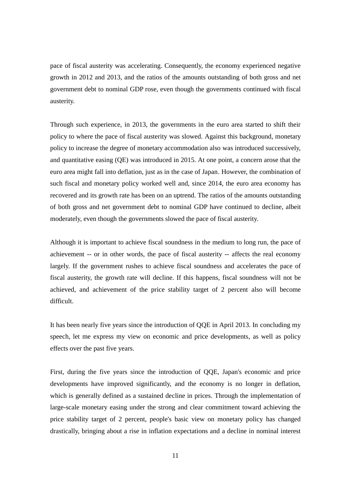pace of fiscal austerity was accelerating. Consequently, the economy experienced negative growth in 2012 and 2013, and the ratios of the amounts outstanding of both gross and net government debt to nominal GDP rose, even though the governments continued with fiscal austerity.

Through such experience, in 2013, the governments in the euro area started to shift their policy to where the pace of fiscal austerity was slowed. Against this background, monetary policy to increase the degree of monetary accommodation also was introduced successively, and quantitative easing (QE) was introduced in 2015. At one point, a concern arose that the euro area might fall into deflation, just as in the case of Japan. However, the combination of such fiscal and monetary policy worked well and, since 2014, the euro area economy has recovered and its growth rate has been on an uptrend. The ratios of the amounts outstanding of both gross and net government debt to nominal GDP have continued to decline, albeit moderately, even though the governments slowed the pace of fiscal austerity.

Although it is important to achieve fiscal soundness in the medium to long run, the pace of achievement -- or in other words, the pace of fiscal austerity -- affects the real economy largely. If the government rushes to achieve fiscal soundness and accelerates the pace of fiscal austerity, the growth rate will decline. If this happens, fiscal soundness will not be achieved, and achievement of the price stability target of 2 percent also will become difficult.

It has been nearly five years since the introduction of QQE in April 2013. In concluding my speech, let me express my view on economic and price developments, as well as policy effects over the past five years.

First, during the five years since the introduction of QQE, Japan's economic and price developments have improved significantly, and the economy is no longer in deflation, which is generally defined as a sustained decline in prices. Through the implementation of large-scale monetary easing under the strong and clear commitment toward achieving the price stability target of 2 percent, people's basic view on monetary policy has changed drastically, bringing about a rise in inflation expectations and a decline in nominal interest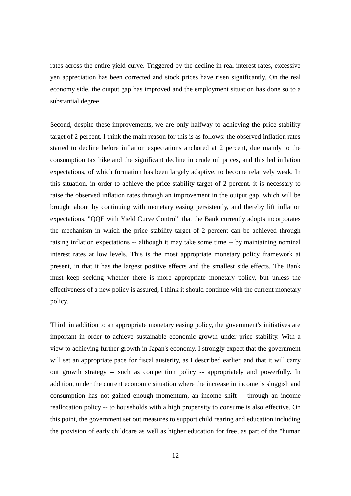rates across the entire yield curve. Triggered by the decline in real interest rates, excessive yen appreciation has been corrected and stock prices have risen significantly. On the real economy side, the output gap has improved and the employment situation has done so to a substantial degree.

Second, despite these improvements, we are only halfway to achieving the price stability target of 2 percent. I think the main reason for this is as follows: the observed inflation rates started to decline before inflation expectations anchored at 2 percent, due mainly to the consumption tax hike and the significant decline in crude oil prices, and this led inflation expectations, of which formation has been largely adaptive, to become relatively weak. In this situation, in order to achieve the price stability target of 2 percent, it is necessary to raise the observed inflation rates through an improvement in the output gap, which will be brought about by continuing with monetary easing persistently, and thereby lift inflation expectations. "QQE with Yield Curve Control" that the Bank currently adopts incorporates the mechanism in which the price stability target of 2 percent can be achieved through raising inflation expectations -- although it may take some time -- by maintaining nominal interest rates at low levels. This is the most appropriate monetary policy framework at present, in that it has the largest positive effects and the smallest side effects. The Bank must keep seeking whether there is more appropriate monetary policy, but unless the effectiveness of a new policy is assured, I think it should continue with the current monetary policy.

Third, in addition to an appropriate monetary easing policy, the government's initiatives are important in order to achieve sustainable economic growth under price stability. With a view to achieving further growth in Japan's economy, I strongly expect that the government will set an appropriate pace for fiscal austerity, as I described earlier, and that it will carry out growth strategy -- such as competition policy -- appropriately and powerfully. In addition, under the current economic situation where the increase in income is sluggish and consumption has not gained enough momentum, an income shift -- through an income reallocation policy -- to households with a high propensity to consume is also effective. On this point, the government set out measures to support child rearing and education including the provision of early childcare as well as higher education for free, as part of the "human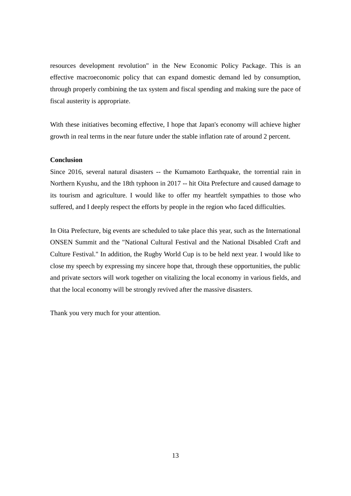resources development revolution" in the New Economic Policy Package. This is an effective macroeconomic policy that can expand domestic demand led by consumption, through properly combining the tax system and fiscal spending and making sure the pace of fiscal austerity is appropriate.

With these initiatives becoming effective, I hope that Japan's economy will achieve higher growth in real terms in the near future under the stable inflation rate of around 2 percent.

#### **Conclusion**

Since 2016, several natural disasters -- the Kumamoto Earthquake, the torrential rain in Northern Kyushu, and the 18th typhoon in 2017 -- hit Oita Prefecture and caused damage to its tourism and agriculture. I would like to offer my heartfelt sympathies to those who suffered, and I deeply respect the efforts by people in the region who faced difficulties.

In Oita Prefecture, big events are scheduled to take place this year, such as the International ONSEN Summit and the "National Cultural Festival and the National Disabled Craft and Culture Festival." In addition, the Rugby World Cup is to be held next year. I would like to close my speech by expressing my sincere hope that, through these opportunities, the public and private sectors will work together on vitalizing the local economy in various fields, and that the local economy will be strongly revived after the massive disasters.

Thank you very much for your attention.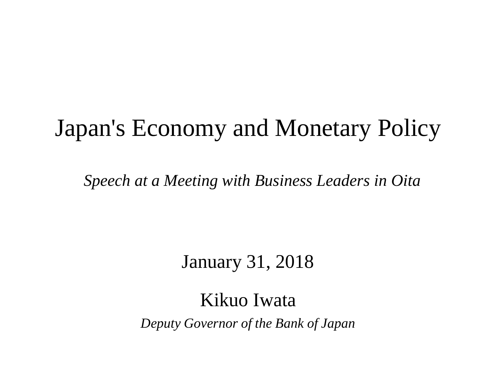# Japan's Economy and Monetary Policy

*Speech at a Meeting with Business Leaders in Oita*

## January 31, 2018

## Kikuo Iwata *Deputy Governor of the Bank of Japan*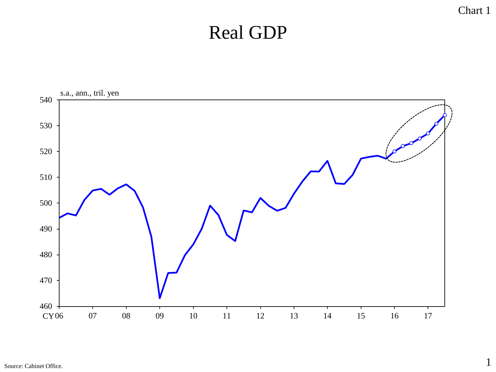### Chart 1

## Real GDP



Source: Cabinet Office.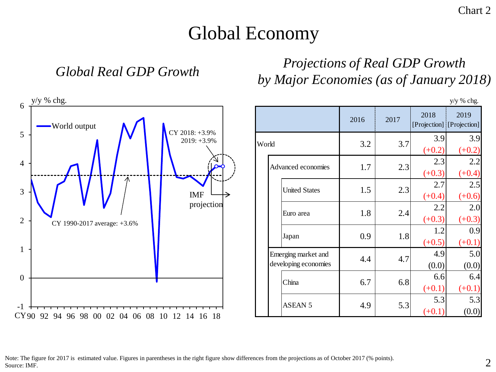## Global Economy

### *Global Real GDP Growth Projections of Real GDP Growth by Major Economies (as of January 2018)*

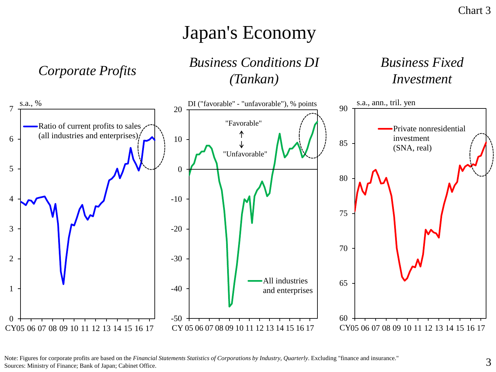## Japan's Economy

*Corporate Profits Business Conditions DI (Tankan)*

### *Business Fixed Investment*



Note: Figures for corporate profits are based on the *Financial Statements Statistics of Corporations by Industry, Quarterly*. Excluding "finance and insurance." Sources: Ministry of Finance; Bank of Japan; Cabinet Office.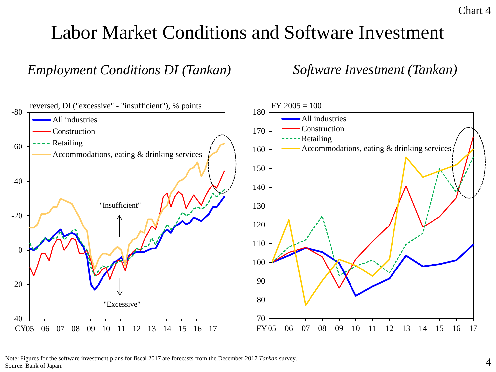## Labor Market Conditions and Software Investment

### *Employment Conditions DI (Tankan)*

*Software Investment (Tankan)*



Note: Figures for the software investment plans for fiscal 2017 are forecasts from the December 2017 *Tankan* survey. Source: Bank of Japan.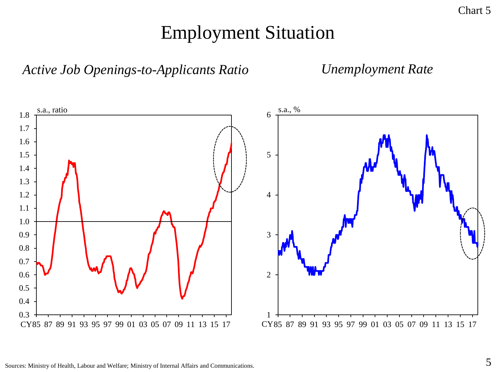## Employment Situation



*Unemployment Rate*

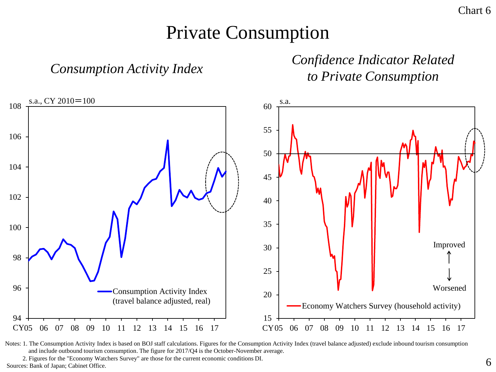### Private Consumption

*Consumption Activity Index*

*Confidence Indicator Related to Private Consumption*



Notes: 1. The Consumption Activity Index is based on BOJ staff calculations. Figures for the Consumption Activity Index (travel balance adjusted) exclude inbound tourism consumption and include outbound tourism consumption. The figure for 2017/Q4 is the October-November average.

2. Figures for the "Economy Watchers Survey" are those for the current economic conditions DI. Sources: Bank of Japan; Cabinet Office.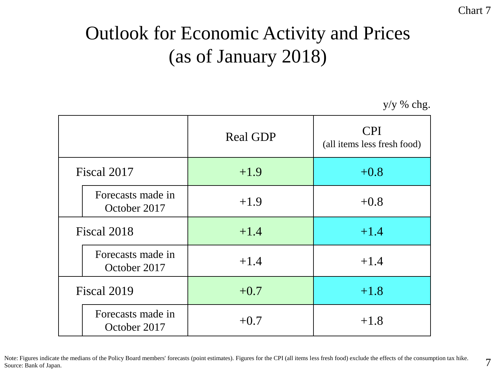## Outlook for Economic Activity and Prices (as of January 2018)

y/y % chg.

|             |                                   | <b>Real GDP</b> | <b>CPI</b><br>(all items less fresh food) |
|-------------|-----------------------------------|-----------------|-------------------------------------------|
| Fiscal 2017 |                                   | $+1.9$          | $+0.8$                                    |
|             | Forecasts made in<br>October 2017 | $+1.9$          | $+0.8$                                    |
| Fiscal 2018 |                                   | $+1.4$          | $+1.4$                                    |
|             | Forecasts made in<br>October 2017 | $+1.4$          | $+1.4$                                    |
| Fiscal 2019 |                                   | $+0.7$          | $+1.8$                                    |
|             | Forecasts made in<br>October 2017 | $+0.7$          | $+1.8$                                    |

Note: Figures indicate the medians of the Policy Board members' forecasts (point estimates). Figures for the CPI (all items less fresh food) exclude the effects of the consumption tax hike.<br>Source: Bank of Japan.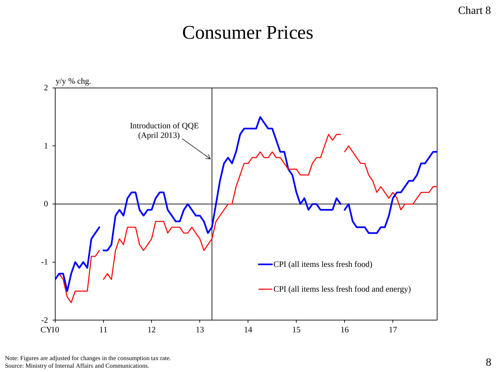#### Chart 8

### Consumer Prices



Note: Figures are adjusted for changes in the consumption tax rate.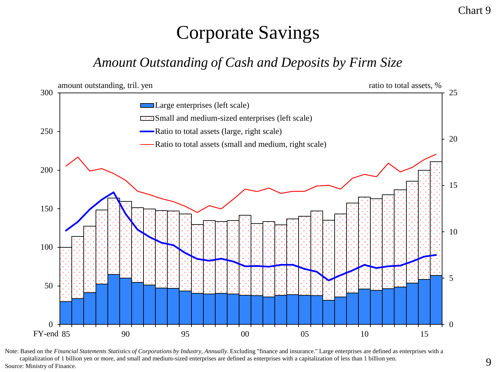# Corporate Savings

### *Amount Outstanding of Cash and Deposits by Firm Size*



Note: Based on the *Financial Statements Statistics of Corporations by Industry, Annually*. Excluding "finance and insurance." Large enterprises are defined as enterprises with a capitalization of 1 billion yen or more, and small and medium-sized enterprises are defined as enterprises with a capitalization of less than 1 billion yen.

Chart 9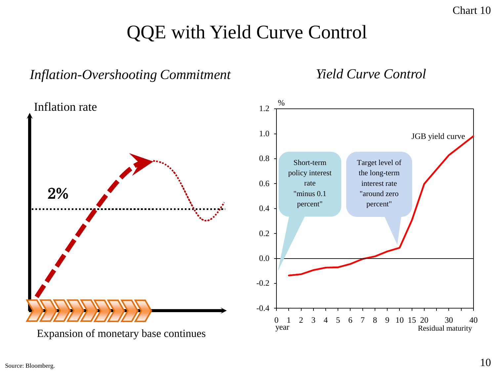## QQE with Yield Curve Control

### *Inflation-Overshooting Commitment Yield Curve Control*

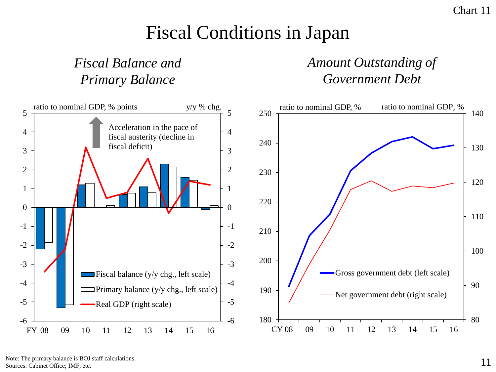## Fiscal Conditions in Japan

### *Fiscal Balance and Primary Balance*

### *Amount Outstanding of Government Debt*



Note: The primary balance is BOJ staff calculations. Sources: Cabinet Office; IMF, etc.